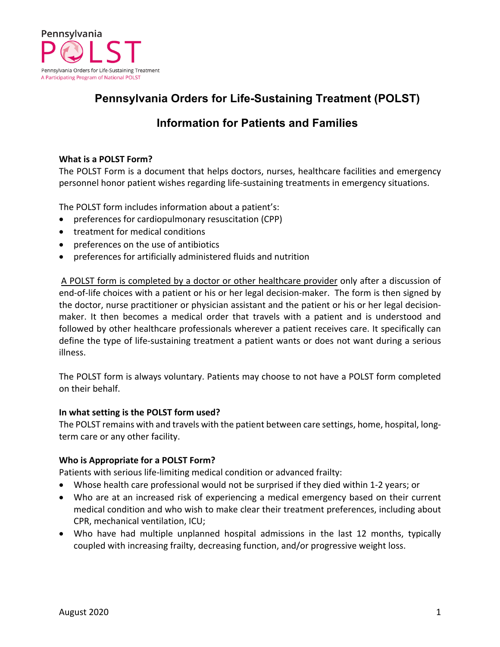

# **Pennsylvania Orders for Life-Sustaining Treatment (POLST)**

# **Information for Patients and Families**

# **What is a POLST Form?**

The POLST Form is a document that helps doctors, nurses, healthcare facilities and emergency personnel honor patient wishes regarding life-sustaining treatments in emergency situations.

The POLST form includes information about a patient's:

- preferences for cardiopulmonary resuscitation (CPP)
- treatment for medical conditions
- preferences on the use of antibiotics
- preferences for artificially administered fluids and nutrition

A POLST form is completed by a doctor or other healthcare provider only after a discussion of end-of-life choices with a patient or his or her legal decision-maker. The form is then signed by the doctor, nurse practitioner or physician assistant and the patient or his or her legal decisionmaker. It then becomes a medical order that travels with a patient and is understood and followed by other healthcare professionals wherever a patient receives care. It specifically can define the type of life-sustaining treatment a patient wants or does not want during a serious illness.

The POLST form is always voluntary. Patients may choose to not have a POLST form completed on their behalf.

## **In what setting is the POLST form used?**

The POLST remains with and travels with the patient between care settings, home, hospital, longterm care or any other facility.

## **Who is Appropriate for a POLST Form?**

Patients with serious life-limiting medical condition or advanced frailty:

- Whose health care professional would not be surprised if they died within 1-2 years; or
- Who are at an increased risk of experiencing a medical emergency based on their current medical condition and who wish to make clear their treatment preferences, including about CPR, mechanical ventilation, ICU;
- Who have had multiple unplanned hospital admissions in the last 12 months, typically coupled with increasing frailty, decreasing function, and/or progressive weight loss.